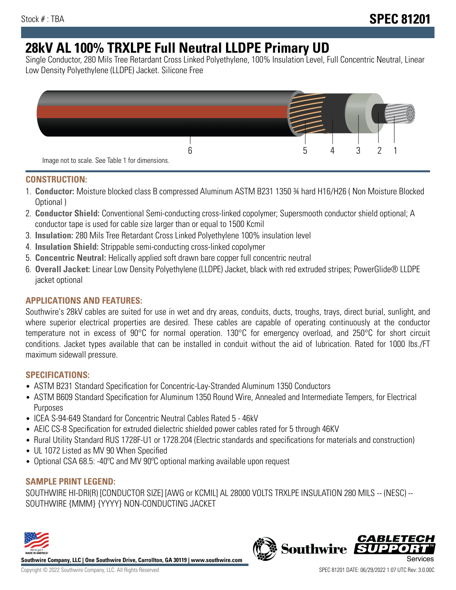# **28kV AL 100% TRXLPE Full Neutral LLDPE Primary UD**

Single Conductor, 280 Mils Tree Retardant Cross Linked Polyethylene, 100% Insulation Level, Full Concentric Neutral, Linear Low Density Polyethylene (LLDPE) Jacket. Silicone Free



### **CONSTRUCTION:**

- 1. **Conductor:** Moisture blocked class B compressed Aluminum ASTM B231 1350 ¾ hard H16/H26 ( Non Moisture Blocked Optional )
- 2. **Conductor Shield:** Conventional Semi-conducting cross-linked copolymer; Supersmooth conductor shield optional; A conductor tape is used for cable size larger than or equal to 1500 Kcmil
- 3. **Insulation:** 280 Mils Tree Retardant Cross Linked Polyethylene 100% insulation level
- 4. **Insulation Shield:** Strippable semi-conducting cross-linked copolymer
- 5. **Concentric Neutral:** Helically applied soft drawn bare copper full concentric neutral
- 6. **Overall Jacket:** Linear Low Density Polyethylene (LLDPE) Jacket, black with red extruded stripes; PowerGlide® LLDPE jacket optional

## **APPLICATIONS AND FEATURES:**

Southwire's 28kV cables are suited for use in wet and dry areas, conduits, ducts, troughs, trays, direct burial, sunlight, and where superior electrical properties are desired. These cables are capable of operating continuously at the conductor temperature not in excess of 90°C for normal operation. 130°C for emergency overload, and 250°C for short circuit conditions. Jacket types available that can be installed in conduit without the aid of lubrication. Rated for 1000 lbs./FT maximum sidewall pressure.

## **SPECIFICATIONS:**

- ASTM B231 Standard Specification for Concentric-Lay-Stranded Aluminum 1350 Conductors
- ASTM B609 Standard Specification for Aluminum 1350 Round Wire, Annealed and Intermediate Tempers, for Electrical Purposes
- ICEA S-94-649 Standard for Concentric Neutral Cables Rated 5 46kV
- AEIC CS-8 Specification for extruded dielectric shielded power cables rated for 5 through 46KV
- Rural Utility Standard RUS 1728F-U1 or 1728.204 (Electric standards and specifications for materials and construction)
- UL 1072 Listed as MV 90 When Specified
- Optional CSA 68.5: -40ºC and MV 90ºC optional marking available upon request

## **SAMPLE PRINT LEGEND:**

SOUTHWIRE HI-DRI(R) [CONDUCTOR SIZE] [AWG or KCMIL] AL 28000 VOLTS TRXLPE INSULATION 280 MILS -- (NESC) -- SOUTHWIRE {MMM} {YYYY} NON-CONDUCTING JACKET



**Southwire Company, LLC | One Southwire Drive, Carrollton, GA 30119 | www.southwire.com**

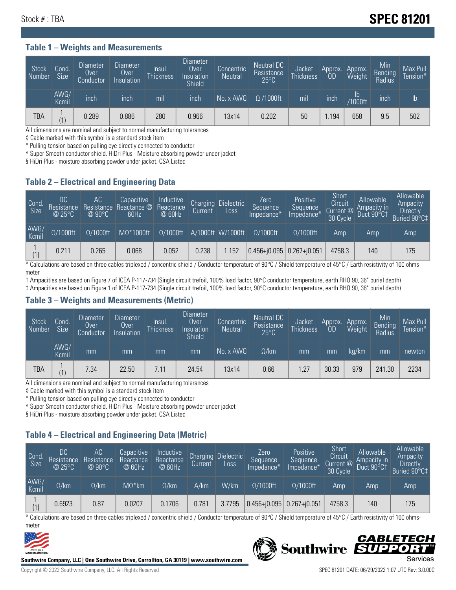## Stock # : TBA **SPEC 81201**

### **Table 1 – Weights and Measurements**

| Stock<br>Number | Cond<br><b>Size</b> | Diameter<br>Over<br>Conductor | <b>Diameter</b><br>Over<br>Insulation | Insul.<br><b>Thickness</b> | <b>Diameter</b><br>Over<br>Insulation<br><b>Shield</b> | Concentric<br><b>Neutral</b> | Neutral DC<br>Resistance<br>$25^{\circ}$ C | Jacket<br><b>Thickness</b> | Approx.<br>0D | Approx.<br>Weight        | Min<br>Bending<br>Radius | Max Pull<br>Tension* |
|-----------------|---------------------|-------------------------------|---------------------------------------|----------------------------|--------------------------------------------------------|------------------------------|--------------------------------------------|----------------------------|---------------|--------------------------|--------------------------|----------------------|
|                 | AWG/<br>Kcmil       | inch                          | inch                                  | mil                        | inch                                                   | No. x AWG                    | $\Omega$ /1000ft                           | mil                        | inch          | $\mathsf{lb}$<br>/1000ft | inch                     | lb                   |
| TBA             | (1)                 | 0.289                         | 0.886                                 | 280                        | 0.966                                                  | 13x14                        | 0.202                                      | 50                         | .194          | 658                      | 9.5                      | 502                  |

All dimensions are nominal and subject to normal manufacturing tolerances

◊ Cable marked with this symbol is a standard stock item

\* Pulling tension based on pulling eye directly connected to conductor

^ Super-Smooth conductor shield. HiDri Plus - Moisture absorbing powder under jacket

§ HiDri Plus - moisture absorbing powder under jacket. CSA Listed

### **Table 2 – Electrical and Engineering Data**

| Cond.<br>Size | DC<br>Resistance<br>@ $25^{\circ}$ C | AC<br>Resistance<br>$@90^{\circ}C$ | Capacitive<br>Reactance @<br>60Hz | Inductive<br>Reactance<br>@ 60Hz | <b>Charging</b><br>Current | <b>Dielectric</b><br>Loss | Zero<br>Sequence<br>Impedance* | Positive<br>Sequence<br>Impedance <sup>+</sup> | Short<br>Circuit<br>Current @<br>30 Cycle | Allowable<br>Ampacity in<br>Duct 90°C1 | Allowable<br>Ampacity<br>Directly<br>Buried 90°C‡ |
|---------------|--------------------------------------|------------------------------------|-----------------------------------|----------------------------------|----------------------------|---------------------------|--------------------------------|------------------------------------------------|-------------------------------------------|----------------------------------------|---------------------------------------------------|
| AWG/<br>Kcmil | $\Omega/1000$ ft                     | $\Omega/1000$ ft                   | $M\Omega^*1000$ ft                | $\Omega/1000$ ft                 |                            | A/1000ft W/1000ft         | $\Omega$ /1000ft               | $\Omega/1000$ ft                               | Amp                                       | Amp                                    | Amp                                               |
| (1)           | 0.211                                | 0.265                              | 0.068                             | 0.052                            | 0.238                      | .152                      | $0.456 + 0.095$                | $ 0.267 + i0.051 $                             | 4758.3                                    | 140                                    | 175                                               |

\* Calculations are based on three cables triplexed / concentric shield / Conductor temperature of 90°C / Shield temperature of 45°C / Earth resistivity of 100 ohmsmeter

† Ampacities are based on Figure 7 of ICEA P-117-734 (Single circuit trefoil, 100% load factor, 90°C conductor temperature, earth RHO 90, 36" burial depth)

‡ Ampacities are based on Figure 1 of ICEA P-117-734 (Single circuit trefoil, 100% load factor, 90°C conductor temperature, earth RHO 90, 36" burial depth)

#### **Table 3 – Weights and Measurements (Metric)**

| Stock<br>Number | Cond.<br>Size <sup>1</sup> | <b>Diameter</b><br>0ver<br>Conductor | <b>Diameter</b><br>Over<br>Insulation | Insul.<br><b>Thickness</b> | <b>Diameter</b><br>Over<br>Insulation<br><b>Shield</b> | Concentric<br><b>Neutral</b> | Neutral DC<br>Resistance<br>$25^{\circ}$ C | Jacket<br><b>Thickness</b> | Approx.<br>ОD | Approx.<br>Weight | Min<br>Bending<br>Radius | Max Pull<br>Tension* |
|-----------------|----------------------------|--------------------------------------|---------------------------------------|----------------------------|--------------------------------------------------------|------------------------------|--------------------------------------------|----------------------------|---------------|-------------------|--------------------------|----------------------|
|                 | AWG/<br>Kcmil              | mm                                   | mm                                    | mm                         | mm                                                     | No. x AWG                    | $\Omega$ /km                               | mm                         | mm            | ka/km             | mm                       | newton               |
| <b>TBA</b>      | (1)                        | 7.34                                 | 22.50                                 |                            | 24.54                                                  | 13x14                        | 0.66                                       | 1.27                       | 30.33         | 979               | 241.30                   | 2234                 |

All dimensions are nominal and subject to normal manufacturing tolerances

◊ Cable marked with this symbol is a standard stock item

\* Pulling tension based on pulling eye directly connected to conductor

^ Super-Smooth conductor shield. HiDri Plus - Moisture absorbing powder under jacket

§ HiDri Plus - moisture absorbing powder under jacket. CSA Listed

## **Table 4 – Electrical and Engineering Data (Metric)**

| Cond<br>Size  | DC<br>Resistance<br>ା@ 25°C | AC <sup>'</sup><br>Resistance<br>$@90^{\circ}C$ | Capacitive<br>Reactance<br>@ 60Hz | Inductive<br>Reactance<br>@ 60Hz | Charging<br>Current, | <b>Dielectric</b><br>Loss | Zero<br>Sequence<br>Impedance* | Positive<br>Sequence<br>Impedance* | Short<br>Circuit<br>Current <sup>@</sup><br>30 Cycle | Allowable<br>Ampacity in<br>Duct 90°C1 | Allowable<br>Ampacity<br>Directly<br>Buried 90°C‡ |
|---------------|-----------------------------|-------------------------------------------------|-----------------------------------|----------------------------------|----------------------|---------------------------|--------------------------------|------------------------------------|------------------------------------------------------|----------------------------------------|---------------------------------------------------|
| AWG/<br>Kcmil | $\Omega$ /km                | $\Omega$ /km                                    | $M\Omega^*$ km                    | $\Omega$ /km                     | A/km                 | W/km                      | $\Omega/1000$ ft               | $\Omega/1000$ ft                   | Amp                                                  | Amp                                    | Amp                                               |
| (1)           | 0.6923                      | 0.87                                            | 0.0207                            | 0.1706                           | 0.781                | 3.7795                    | $0.456 + j0.095$ 0.267+j0.051  |                                    | 4758.3                                               | 140                                    | 175                                               |

\* Calculations are based on three cables triplexed / concentric shield / Conductor temperature of 90°C / Shield temperature of 45°C / Earth resistivity of 100 ohmsmeter



**Southwire Company, LLC | One Southwire Drive, Carrollton, GA 30119 | www.southwire.com**